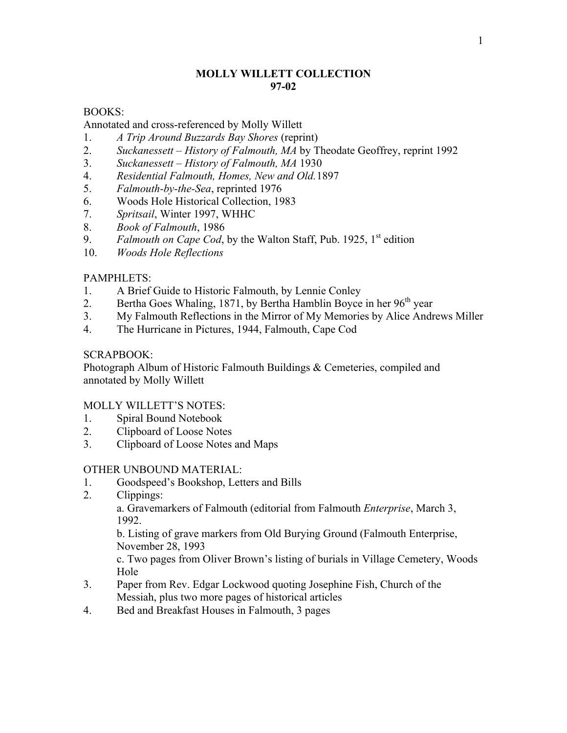# **MOLLY WILLETT COLLECTION 97-02**

# BOOKS:

# Annotated and cross-referenced by Molly Willett

- 1. *A Trip Around Buzzards Bay Shores* (reprint)
- 2. *Suckanessett – History of Falmouth, MA* by Theodate Geoffrey, reprint 1992
- 3. *Suckanessett – History of Falmouth, MA* 1930
- 4. *Residential Falmouth, Homes, New and Old.*1897
- 5. *Falmouth-by-the-Sea*, reprinted 1976
- 6. Woods Hole Historical Collection, 1983
- 7. *Spritsail*, Winter 1997, WHHC
- 8. *Book of Falmouth*, 1986
- 9. *Falmouth on Cape Cod*, by the Walton Staff, Pub. 1925, 1<sup>st</sup> edition
- 10. *Woods Hole Reflections*

## PAMPHLETS:

- 1. A Brief Guide to Historic Falmouth, by Lennie Conley
- 2. Bertha Goes Whaling, 1871, by Bertha Hamblin Boyce in her  $96<sup>th</sup>$  year
- 3. My Falmouth Reflections in the Mirror of My Memories by Alice Andrews Miller
- 4. The Hurricane in Pictures, 1944, Falmouth, Cape Cod

### SCRAPBOOK:

Photograph Album of Historic Falmouth Buildings & Cemeteries, compiled and annotated by Molly Willett

### MOLLY WILLETT'S NOTES:

- 1. Spiral Bound Notebook
- 2. Clipboard of Loose Notes
- 3. Clipboard of Loose Notes and Maps

### OTHER UNBOUND MATERIAL:

- 1. Goodspeed's Bookshop, Letters and Bills
- 2. Clippings:

a. Gravemarkers of Falmouth (editorial from Falmouth *Enterprise*, March 3, 1992.

b. Listing of grave markers from Old Burying Ground (Falmouth Enterprise, November 28, 1993

c. Two pages from Oliver Brown's listing of burials in Village Cemetery, Woods Hole

- 3. Paper from Rev. Edgar Lockwood quoting Josephine Fish, Church of the Messiah, plus two more pages of historical articles
- 4. Bed and Breakfast Houses in Falmouth, 3 pages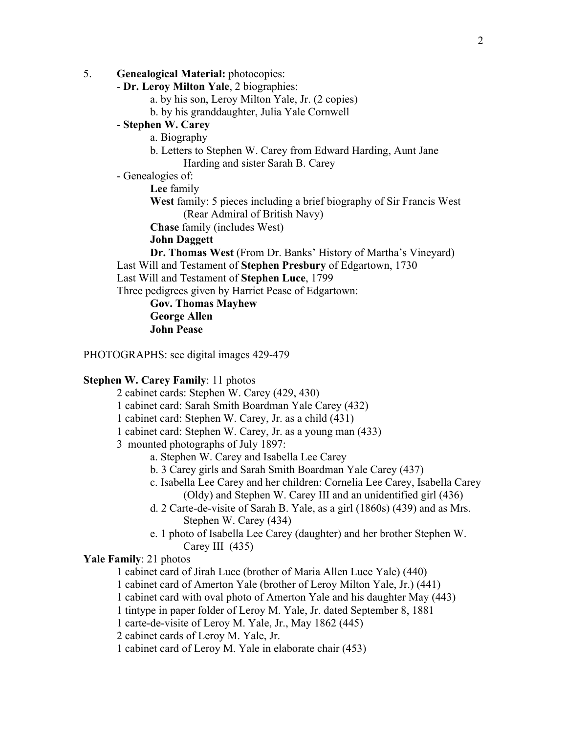- 5. **Genealogical Material:** photocopies:
	- **Dr. Leroy Milton Yale**, 2 biographies:
		- a. by his son, Leroy Milton Yale, Jr. (2 copies)
		- b. by his granddaughter, Julia Yale Cornwell

# - **Stephen W. Carey**

- a. Biography
	- b. Letters to Stephen W. Carey from Edward Harding, Aunt Jane Harding and sister Sarah B. Carey
- Genealogies of:

**Lee** family

**West** family: 5 pieces including a brief biography of Sir Francis West (Rear Admiral of British Navy)

**Chase** family (includes West)

**John Daggett**

**Dr. Thomas West** (From Dr. Banks' History of Martha's Vineyard) Last Will and Testament of **Stephen Presbury** of Edgartown, 1730 Last Will and Testament of **Stephen Luce**, 1799

Three pedigrees given by Harriet Pease of Edgartown:

**Gov. Thomas Mayhew George Allen John Pease**

PHOTOGRAPHS: see digital images 429-479

### **Stephen W. Carey Family**: 11 photos

- 2 cabinet cards: Stephen W. Carey (429, 430)
- 1 cabinet card: Sarah Smith Boardman Yale Carey (432)
- 1 cabinet card: Stephen W. Carey, Jr. as a child (431)
- 1 cabinet card: Stephen W. Carey, Jr. as a young man (433)
- 3 mounted photographs of July 1897:
	- a. Stephen W. Carey and Isabella Lee Carey
	- b. 3 Carey girls and Sarah Smith Boardman Yale Carey (437)
	- c. Isabella Lee Carey and her children: Cornelia Lee Carey, Isabella Carey (Oldy) and Stephen W. Carey III and an unidentified girl (436)
	- d. 2 Carte-de-visite of Sarah B. Yale, as a girl (1860s) (439) and as Mrs. Stephen W. Carey (434)
	- e. 1 photo of Isabella Lee Carey (daughter) and her brother Stephen W. Carey III (435)

### **Yale Family**: 21 photos

1 cabinet card of Jirah Luce (brother of Maria Allen Luce Yale) (440)

1 cabinet card of Amerton Yale (brother of Leroy Milton Yale, Jr.) (441)

1 cabinet card with oval photo of Amerton Yale and his daughter May (443)

1 tintype in paper folder of Leroy M. Yale, Jr. dated September 8, 1881

1 carte-de-visite of Leroy M. Yale, Jr., May 1862 (445)

2 cabinet cards of Leroy M. Yale, Jr.

1 cabinet card of Leroy M. Yale in elaborate chair (453)